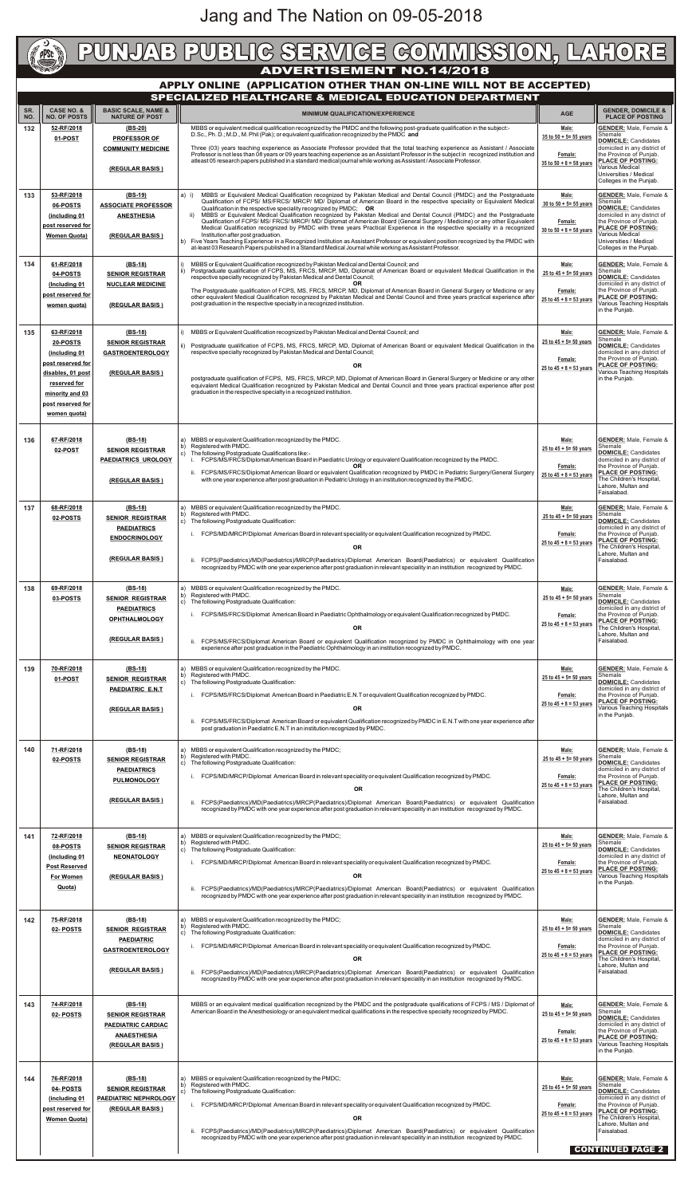## **CARGE** PUNJAB PUBLIG SERVIGE GOMMISSION, LAHORE **APPLY ONLINE (APPLICATION OTHER THAN ON-LINE WILL NOT BE ACCEPTED) SPECIALIZED HEALTHCARE & MEDICAL EDUCATION DEPARTMENT SR. CASE NO. & BASIC SCALE, NAME & MINIMUM QUALIFICATION/EXPERIENCE**

| SR.<br>NO. | <b>CASE NO. &amp;</b><br><b>NO. OF POSTS</b> | <b>BASIC SCALE, NAME &amp;</b><br><b>NATURE OF POST</b>                                                                                                 | <b>MINIMUM QUALIFICATION/EXPERIENCE</b>                                                                                                                                                                                                                                                                                       | <b>AGE</b>                             | <b>GENDER, DOMICILE &amp;</b><br><b>PLACE OF POSTING</b>                               |
|------------|----------------------------------------------|---------------------------------------------------------------------------------------------------------------------------------------------------------|-------------------------------------------------------------------------------------------------------------------------------------------------------------------------------------------------------------------------------------------------------------------------------------------------------------------------------|----------------------------------------|----------------------------------------------------------------------------------------|
| 132        | 52-RF/2018                                   | (BS-20)<br><b>PROFESSOR OF</b>                                                                                                                          | MBBS or equivalent medical qualification recognized by the PMDC and the following post-graduate qualification in the subject:-<br>D.Sc., Ph. D.; M.D., M. Phil (Pak); or equivalent qualification recognized by the PMDC and                                                                                                  | Male:<br>35 to $50 + 5 = 55$ years     | <b>GENDER:</b> Male, Female &<br>Shemale                                               |
|            | 01-POST                                      | <b>COMMUNITY MEDICINE</b>                                                                                                                               | Three (03) years teaching experience as Associate Professor provided that the total teaching experience as Assistant / Associate<br>Professor is not less than 08 years or 09 years teaching experience as an Assistant Professor in the subject in recognized institution and                                                | Female:                                | <b>DOMICILE: Candidates</b><br>domiciled in any district of<br>the Province of Punjab. |
|            |                                              | (REGULAR BASIS)                                                                                                                                         | atleast 05 research papers published in a standard medical journal while working as Assistant/Associate Professor.                                                                                                                                                                                                            | $35$ to $50 + 8 = 58$ years            | <b>PLACE OF POSTING:</b><br>Various Medical                                            |
|            |                                              |                                                                                                                                                         |                                                                                                                                                                                                                                                                                                                               |                                        | Universities / Medical<br>Colleges in the Punjab.                                      |
| 133        | 53-RF/2018<br>06-POSTS                       | $(BS-19)$<br><b>ASSOCIATE PROFESSOR</b>                                                                                                                 | MBBS or Equivalent Medical Qualification recognized by Pakistan Medical and Dental Council (PMDC) and the Postgraduate<br>a) i)<br>Qualification of FCPS/ MS/FRCS/ MRCP/ MD/ Diplomat of American Board in the respective speciality or Equivalent Medical                                                                    | Male:<br>30 to $50 + 5 = 55$ years     | <b>GENDER:</b> Male, Female &<br>Shemale                                               |
|            | (including 01                                | <b>ANESTHESIA</b>                                                                                                                                       | Qualification in the respective speciality recognized by PMDC; OR<br>ii) MBBS or Equivalent Medical Qualification recognized by Pakistan Medical and Dental Council (PMDC) and the Postgraduate<br>Qualification of FCPS/ MS/ FRCS/ MRCP/ MD/ Diplomat of American Board (General Surgery / Medicine) or any other Equivalent | Female:                                | <b>DOMICILE: Candidates</b><br>domiciled in any district of<br>the Province of Punjab. |
|            | post reserved for<br><b>Women Quota)</b>     | (REGULAR BASIS)                                                                                                                                         | Medical Qualification recognized by PMDC with three years Practical Experience in the respective speciality in a recognized<br>Institution after post graduation.<br>b) Five Years Teaching Experience in a Recognized Institution as Assistant Professor or equivalent position recognized by the PMDC with                  | $30$ to $50 + 8 = 58$ years            | <b>PLACE OF POSTING:</b><br>Various Medical<br>Universities / Medical                  |
|            |                                              |                                                                                                                                                         | at-least 03 Research Papers published in a Standard Medical Journal while working as Assistant Professor.                                                                                                                                                                                                                     |                                        | Colleges in the Punjab.                                                                |
| 134        | 61-RF/2018<br>04-POSTS                       | $(BS-18)$<br><b>SENIOR REGISTRAR</b>                                                                                                                    | MBBS or Equivalent Qualification recognized by Pakistan Medical and Dental Council; and<br>Postgraduate qualification of FCPS, MS, FRCS, MRCP, MD, Diplomat of American Board or equivalent Medical Qualification in the<br>respective specialty recognized by Pakistan Medical and Dental Council;                           | Male:<br>25 to $45 + 5 = 50$ years     | <b>GENDER:</b> Male, Female &<br>Shemale<br><b>DOMICILE:</b> Candidates                |
|            | (Including 01)<br>post reserved for          | <b>NUCLEAR MEDICINE</b><br>The Postgraduate qualification of FCPS, MS, FRCS, MRCP, MD, Diplomat of American Board in General Surgery or Medicine or any |                                                                                                                                                                                                                                                                                                                               | Female:                                | domiciled in any district of<br>the Province of Punjab.                                |
|            | women quota)                                 | (REGULAR BASIS)                                                                                                                                         | other equivalent Medical Qualification recognized by Pakistan Medical and Dental Council and three years practical experience after<br>post graduation in the respective specialty in a recognized institution.                                                                                                               |                                        | <b>PLACE OF POSTING:</b><br>Various Teaching Hospitals<br>in the Punjab.               |
|            |                                              |                                                                                                                                                         |                                                                                                                                                                                                                                                                                                                               |                                        |                                                                                        |
| 135        | 63-RF/2018<br><u>20-POSTS</u>                | $(BS-18)$<br><b>SENIOR REGISTRAR</b>                                                                                                                    | MBBS or Equivalent Qualification recognized by Pakistan Medical and Dental Council; and<br>ii) Postgraduate qualification of FCPS, MS, FRCS, MRCP, MD, Diplomat of American Board or equivalent Medical Qualification in the                                                                                                  | Male:<br>25 to $45 + 5 = 50$ years     | <b>GENDER:</b> Male, Female &<br>Shemale<br><b>DOMICILE: Candidates</b>                |
|            | (including 01<br>post reserved for           | <b>GASTROENTEROLOGY</b>                                                                                                                                 | respective specialty recognized by Pakistan Medical and Dental Council;<br><b>OR</b>                                                                                                                                                                                                                                          | Female:                                | domiciled in any district of<br>the Province of Punjab.<br><b>PLACE OF POSTING:</b>    |
|            | disables, 01 post<br>reserved for            | (REGULAR BASIS)                                                                                                                                         | postgraduate qualification of FCPS, MS, FRCS, MRCP, MD, Diplomat of American Board in General Surgery or Medicine or any other                                                                                                                                                                                                | 25 to $45 + 8 = 53$ years              | Various Teaching Hospitals<br>in the Punjab.                                           |
|            | minority and 03                              |                                                                                                                                                         | equivalent Medical Qualification recognized by Pakistan Medical and Dental Council and three years practical experience after post<br>graduation in the respective specialty in a recognized institution.                                                                                                                     |                                        |                                                                                        |
|            | post reserved for<br>women quota)            |                                                                                                                                                         |                                                                                                                                                                                                                                                                                                                               |                                        |                                                                                        |
|            |                                              |                                                                                                                                                         |                                                                                                                                                                                                                                                                                                                               |                                        |                                                                                        |
| 136        | 67-RF/2018<br>02-POST                        | $(BS-18)$<br><b>SENIOR REGISTRAR</b>                                                                                                                    | a) MBBS or equivalent Qualification recognized by the PMDC.<br>Registered with PMDC.<br>b)<br>c) The following Postgraduate Qualifications like:-                                                                                                                                                                             | Male:<br>25 to $45 + 5 = 50$ years     | <b>GENDER:</b> Male, Female &<br>Shemale<br><b>DOMICILE:</b> Candidates                |
|            |                                              | <b>PAEDIATRICS UROLOGY</b>                                                                                                                              | FCPS/MS/FRCS/Diplomat American Board in Paediatric Urology or equivalent Qualification recognized by the PMDC.<br>OR.<br>ii. FCPS/MS/FRCS/Diplomat American Board or equivalent Qualification recognized by PMDC in Pediatric Surgery/General Surgery                                                                         | Female:<br>25 to $45 + 8 = 53$ year    | domiciled in any district of<br>the Province of Punjab.<br><b>PLACE OF POSTING:</b>    |
|            |                                              | (REGULAR BASIS)                                                                                                                                         | with one year experience after post graduation in Pediatric Urology in an institution recognized by the PMDC.                                                                                                                                                                                                                 |                                        | The Children's Hospital,<br>Lahore, Multan and<br>Faisalabad.                          |
| 137        | 68-RF/2018                                   | $(BS-18)$                                                                                                                                               | MBBS or equivalent Qualification recognized by the PMDC.<br>a)<br>Registered with PMDC.<br>b)                                                                                                                                                                                                                                 | Male:<br>25 to $45 + 5 = 50$ years     | <b>GENDER:</b> Male, Female &<br>Shemale                                               |
|            | 02-POSTS                                     | <b>SENIOR REGISTRAR</b><br><b>PAEDIATRICS</b>                                                                                                           | c) The following Postgraduate Qualification:                                                                                                                                                                                                                                                                                  |                                        | <b>DOMICILE:</b> Candidates<br>domiciled in any district of<br>the Province of Punjab. |
|            |                                              | <b>ENDOCRINOLOGY</b>                                                                                                                                    | FCPS/MD/MRCP/Diplomat American Board in relevant speciality or equivalent Qualification recognized by PMDC.<br><b>OR</b>                                                                                                                                                                                                      | Female:<br>$25$ to $45 + 8 = 53$ years | <b>PLACE OF POSTING:</b><br>The Children's Hospital,                                   |
|            |                                              | (REGULAR BASIS)                                                                                                                                         | FCPS(Paediatrics)/MD(Paediatrics)/MRCP(Paediatrics)/Diplomat American Board(Paediatrics) or equivalent Qualification<br>recognized by PMDC with one year experience after post graduation in relevant speciality in an institution recognized by PMDC.                                                                        |                                        | Lahore, Multan and<br>Faisalabad.                                                      |
| 138        | 69-RF/2018                                   | $(BS-18)$                                                                                                                                               | MBBS or equivalent Qualification recognized by the PMDC.<br>a)                                                                                                                                                                                                                                                                | Male:                                  | <b>GENDER:</b> Male, Female &                                                          |
|            | 03-POSTS                                     | <b>SENIOR REGISTRAR</b><br><b>PAEDIATRICS</b>                                                                                                           | Registered with PMDC.<br>b)<br>c) The following Postgraduate Qualification:                                                                                                                                                                                                                                                   | 25 to $45 + 5 = 50$ years              | Shemale<br><b>DOMICILE:</b> Candidates<br>domiciled in any district of                 |
|            |                                              | <b>OPHTHALMOLOGY</b>                                                                                                                                    | FCPS/MS/FRCS/Diplomat American Board in Paediatric Ophthalmology or equivalent Qualification recognized by PMDC.<br><b>OR</b>                                                                                                                                                                                                 | Female:<br>25 to $45 + 8 = 53$ years   | the Province of Punjab.<br><b>PLACE OF POSTING:</b><br>The Children's Hospital,        |
|            |                                              | (REGULAR BASIS)                                                                                                                                         | ii. FCPS/MS/FRCS/Diplomat American Board or equivalent Qualification recognized by PMDC in Ophthalmology with one year                                                                                                                                                                                                        |                                        | Lahore, Multan and<br>Faisalabad.                                                      |
|            |                                              |                                                                                                                                                         | experience after post graduation in the Paediatric Ophthalmology in an institution recognized by PMDC.                                                                                                                                                                                                                        |                                        |                                                                                        |
| 139        | 70-RF/2018<br>01-POST                        | $(BS-18)$<br><b>SENIOR REGISTRAR</b>                                                                                                                    | a) MBBS or equivalent Qualification recognized by the PMDC.<br>Registered with PMDC.<br>b)<br>$ c $ The following Postgraduate Qualification:                                                                                                                                                                                 | Male:<br>25 to $45 + 5 = 50$ years     | <b>GENDER:</b> Male, Female &<br>Shemale<br><b>DOMICILE:</b> Candidates                |
|            |                                              | PAEDIATRIC E.N.T                                                                                                                                        | FCPS/MS/FRCS/Diplomat American Board in Paediatric E.N.T or equivalent Qualification recognized by PMDC.                                                                                                                                                                                                                      | Female:<br>25 to $45 + 8 = 53$ years   | domiciled in any district of<br>the Province of Punjab.<br><b>PLACE OF POSTING:</b>    |
|            |                                              | (REGULAR BASIS)                                                                                                                                         | <b>OR</b><br>FCPS/MS/FRCS/Diplomat American Board or equivalent Qualification recognized by PMDC in E.N.T with one year experience after<br>ii.                                                                                                                                                                               |                                        | Various Teaching Hospitals<br>in the Punjab.                                           |
|            |                                              |                                                                                                                                                         | post graduation in Paediatric E.N.T in an institution recognized by PMDC.                                                                                                                                                                                                                                                     |                                        |                                                                                        |
| 140        | 71-RF/2018<br>02-POSTS                       | (BS-18)<br><b>SENIOR REGISTRAR</b>                                                                                                                      | MBBS or equivalent Qualification recognized by the PMDC;<br>a)<br>Registered with PMDC.<br>b)                                                                                                                                                                                                                                 | Male:<br>25 to $45 + 5 = 50$ years     | <b>GENDER:</b> Male, Female &<br>Shemale<br><b>DOMICILE: Candidates</b>                |
|            |                                              | <b>PAEDIATRICS</b><br><b>PULMONOLOGY</b>                                                                                                                | $ c\rangle$ The following Postgraduate Qualification:<br>FCPS/MD/MRCP/Diplomat American Board in relevant speciality or equivalent Qualification recognized by PMDC.                                                                                                                                                          | Female:                                | domiciled in any district of<br>the Province of Punjab.                                |
|            |                                              |                                                                                                                                                         | <b>OR</b>                                                                                                                                                                                                                                                                                                                     | $25$ to $45 + 8 = 53$ years            | PLACE OF POSTING:<br>The Children's Hospital,<br>Lahore, Multan and                    |
|            |                                              | (REGULAR BASIS)                                                                                                                                         | ii. FCPS(Paediatrics)/MD(Paediatrics)/MRCP(Paediatrics)/Diplomat American Board(Paediatrics) or equivalent Qualification<br>recognized by PMDC with one year experience after post graduation in relevant speciality in an institution recognized by PMDC.                                                                    |                                        | Faisalabad.                                                                            |
| 141        | 72-RF/2018                                   | $(BS-18)$                                                                                                                                               | a) MBBS or equivalent Qualification recognized by the PMDC;                                                                                                                                                                                                                                                                   | Male:                                  | <b>GENDER:</b> Male, Female &                                                          |
|            | 08-POSTS<br>(including 01                    | <b>SENIOR REGISTRAR</b><br><b>NEONATOLOGY</b>                                                                                                           | Registered with PMDC.<br>b)<br>c) The following Postgraduate Qualification:                                                                                                                                                                                                                                                   | 25 to $45 + 5 = 50$ years              | Shemale<br><b>DOMICILE:</b> Candidates<br>domiciled in any district of                 |
|            | <b>Post Reserved</b>                         |                                                                                                                                                         | FCPS/MD/MRCP/Diplomat American Board in relevant speciality or equivalent Qualification recognized by PMDC.<br>OR                                                                                                                                                                                                             | Female:<br>25 to $45 + 8 = 53$ years   | the Province of Punjab.<br><b>PLACE OF POSTING:</b><br>Various Teaching Hospitals      |
|            | <b>For Women</b><br>Quota)                   | (REGULAR BASIS)                                                                                                                                         | ii. FCPS(Paediatrics)/MD(Paediatrics)/MRCP(Paediatrics)/Diplomat American Board(Paediatrics) or equivalent Qualification                                                                                                                                                                                                      |                                        | in the Punjab.                                                                         |
|            |                                              |                                                                                                                                                         | recognized by PMDC with one year experience after post graduation in relevant speciality in an institution recognized by PMDC.                                                                                                                                                                                                |                                        |                                                                                        |
| 142        | 75-RF/2018<br>02- POSTS                      | $(BS-18)$<br><b>SENIOR REGISTRAR</b>                                                                                                                    | (a) MBBS or equivalent Qualification recognized by the PMDC;<br>Registered with PMDC.<br>b)                                                                                                                                                                                                                                   | Male:<br>25 to $45 + 5 = 50$ years     | <b>GENDER:</b> Male, Female &<br>Shemale<br><b>DOMICILE:</b> Candidates                |
|            |                                              | <b>PAEDIATRIC</b><br><b>GASTROENTEROLOGY</b>                                                                                                            | c) The following Postgraduate Qualification:<br>FCPS/MD/MRCP/Diplomat American Board in relevant speciality or equivalent Qualification recognized by PMDC.                                                                                                                                                                   | Female:                                | domiciled in any district of<br>the Province of Punjab.                                |
|            |                                              |                                                                                                                                                         | <b>OR</b>                                                                                                                                                                                                                                                                                                                     | $25$ to $45 + 8 = 53$ years            | <b>PLACE OF POSTING:</b><br>The Children's Hospital,<br>Lahore, Multan and             |
|            |                                              | (REGULAR BASIS)                                                                                                                                         | FCPS(Paediatrics)/MD(Paediatrics)/MRCP(Paediatrics)/Diplomat American Board(Paediatrics) or equivalent Qualification<br>recognized by PMDC with one year experience after post graduation in relevant speciality in an institution recognized by PMDC.                                                                        |                                        | Faisalabad.                                                                            |
| 143        | 74-RF/2018                                   | (BS-18)                                                                                                                                                 | MBBS or an equivalent medical qualification recognized by the PMDC and the postgraduate qualifications of FCPS / MS / Diplomat of                                                                                                                                                                                             | Male:                                  | <b>GENDER:</b> Male, Female &                                                          |
|            | 02- POSTS                                    | <b>SENIOR REGISTRAR</b><br><b>PAEDIATRIC CARDIAC</b>                                                                                                    | American Board in the Anesthesiology or an equivalent medical qualifications in the respective specialty recognized by PMDC.                                                                                                                                                                                                  | 25 to $45 + 5 = 50$ years              | Shemale<br><b>DOMICILE:</b> Candidates<br>domiciled in any district of                 |
|            |                                              | <b>ANAESTHESIA</b>                                                                                                                                      |                                                                                                                                                                                                                                                                                                                               | Female:<br>25 to $45 + 8 = 53$ years   | the Province of Punjab.<br>PLACE OF POSTING:<br>Various Teaching Hospitals             |
|            |                                              | (REGULAR BASIS)                                                                                                                                         |                                                                                                                                                                                                                                                                                                                               |                                        | in the Punjab.                                                                         |
| 144        | 76-RF/2018                                   | (BS-18)                                                                                                                                                 | (a) MBBS or equivalent Qualification recognized by the PMDC;                                                                                                                                                                                                                                                                  | Male:                                  | <b>GENDER:</b> Male, Female &                                                          |
|            | 04- POSTS<br>(including 01                   | <b>SENIOR REGISTRAR</b><br><b>PAEDIATRIC NEPHROLOGY</b>                                                                                                 | Registered with PMDC.<br>b)<br>The following Postgraduate Qualification:                                                                                                                                                                                                                                                      | 25 to $45 + 5 = 50$ years              | Shemale<br><b>DOMICILE:</b> Candidates<br>domiciled in any district of                 |
|            | post reserved for                            | (REGULAR BASIS)                                                                                                                                         | FCPS/MD/MRCP/Diplomat American Board in relevant speciality or equivalent Qualification recognized by PMDC.<br><b>OR</b>                                                                                                                                                                                                      | Female:<br>25 to $45 + 8 = 53$ years   | the Province of Punjab.<br><b>PLACE OF POSTING:</b><br>The Children's Hospital,        |
|            | <b>Women Quota)</b>                          |                                                                                                                                                         | ii. FCPS(Paediatrics)/MD(Paediatrics)/MRCP(Paediatrics)/Diplomat American Board(Paediatrics) or equivalent Qualification<br>recognized by PMDC with one year experience after post graduation in relevant speciality in an institution recognized by PMDC.                                                                    |                                        | Lahore, Multan and<br>Faisalabad.                                                      |
|            |                                              |                                                                                                                                                         |                                                                                                                                                                                                                                                                                                                               | <b>CONTINUED PAGE 2</b>                |                                                                                        |

## Jang and The Nation on 09-05-2018